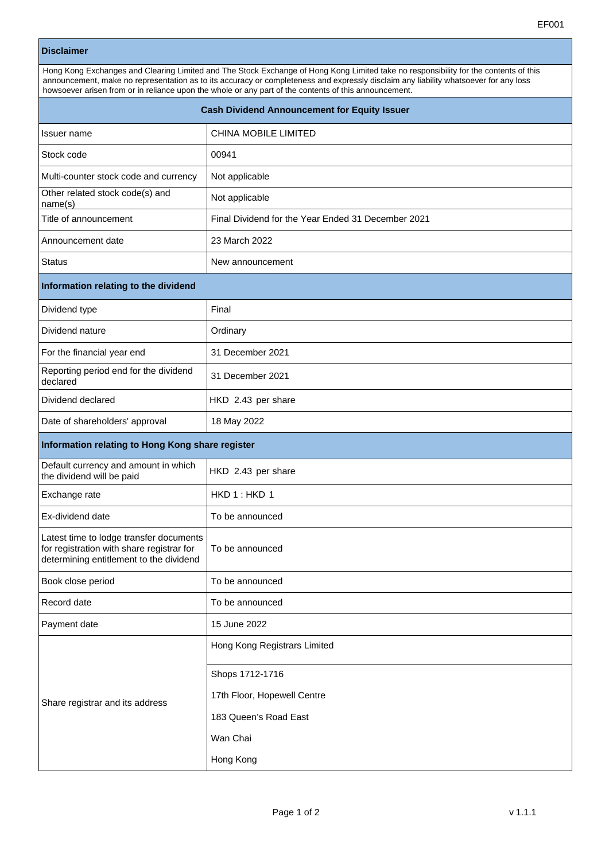## **Disclaimer**

| Hong Kong Exchanges and Clearing Limited and The Stock Exchange of Hong Kong Limited take no responsibility for the contents of this                                                                                                          |  |  |
|-----------------------------------------------------------------------------------------------------------------------------------------------------------------------------------------------------------------------------------------------|--|--|
| announcement, make no representation as to its accuracy or completeness and expressly disclaim any liability whatsoever for any loss<br>howsoever arisen from or in reliance upon the whole or any part of the contents of this announcement. |  |  |
|                                                                                                                                                                                                                                               |  |  |

| <b>Cash Dividend Announcement for Equity Issuer</b>                                                                             |                                                    |  |
|---------------------------------------------------------------------------------------------------------------------------------|----------------------------------------------------|--|
| Issuer name                                                                                                                     | CHINA MOBILE LIMITED                               |  |
| Stock code                                                                                                                      | 00941                                              |  |
| Multi-counter stock code and currency                                                                                           | Not applicable                                     |  |
| Other related stock code(s) and<br>name(s)                                                                                      | Not applicable                                     |  |
| Title of announcement                                                                                                           | Final Dividend for the Year Ended 31 December 2021 |  |
| Announcement date                                                                                                               | 23 March 2022                                      |  |
| <b>Status</b>                                                                                                                   | New announcement                                   |  |
| Information relating to the dividend                                                                                            |                                                    |  |
| Dividend type                                                                                                                   | Final                                              |  |
| Dividend nature                                                                                                                 | Ordinary                                           |  |
| For the financial year end                                                                                                      | 31 December 2021                                   |  |
| Reporting period end for the dividend<br>declared                                                                               | 31 December 2021                                   |  |
| Dividend declared                                                                                                               | HKD 2.43 per share                                 |  |
| Date of shareholders' approval                                                                                                  | 18 May 2022                                        |  |
| Information relating to Hong Kong share register                                                                                |                                                    |  |
| Default currency and amount in which<br>the dividend will be paid                                                               | HKD 2.43 per share                                 |  |
| Exchange rate                                                                                                                   | HKD1:HKD1                                          |  |
| Ex-dividend date                                                                                                                | To be announced                                    |  |
| Latest time to lodge transfer documents<br>for registration with share registrar for<br>determining entitlement to the dividend | To be announced                                    |  |
| Book close period                                                                                                               | To be announced                                    |  |
| Record date                                                                                                                     | To be announced                                    |  |
| Payment date                                                                                                                    | 15 June 2022                                       |  |
| Share registrar and its address                                                                                                 | Hong Kong Registrars Limited                       |  |
|                                                                                                                                 | Shops 1712-1716                                    |  |
|                                                                                                                                 | 17th Floor, Hopewell Centre                        |  |
|                                                                                                                                 | 183 Queen's Road East                              |  |
|                                                                                                                                 | Wan Chai                                           |  |
|                                                                                                                                 | Hong Kong                                          |  |